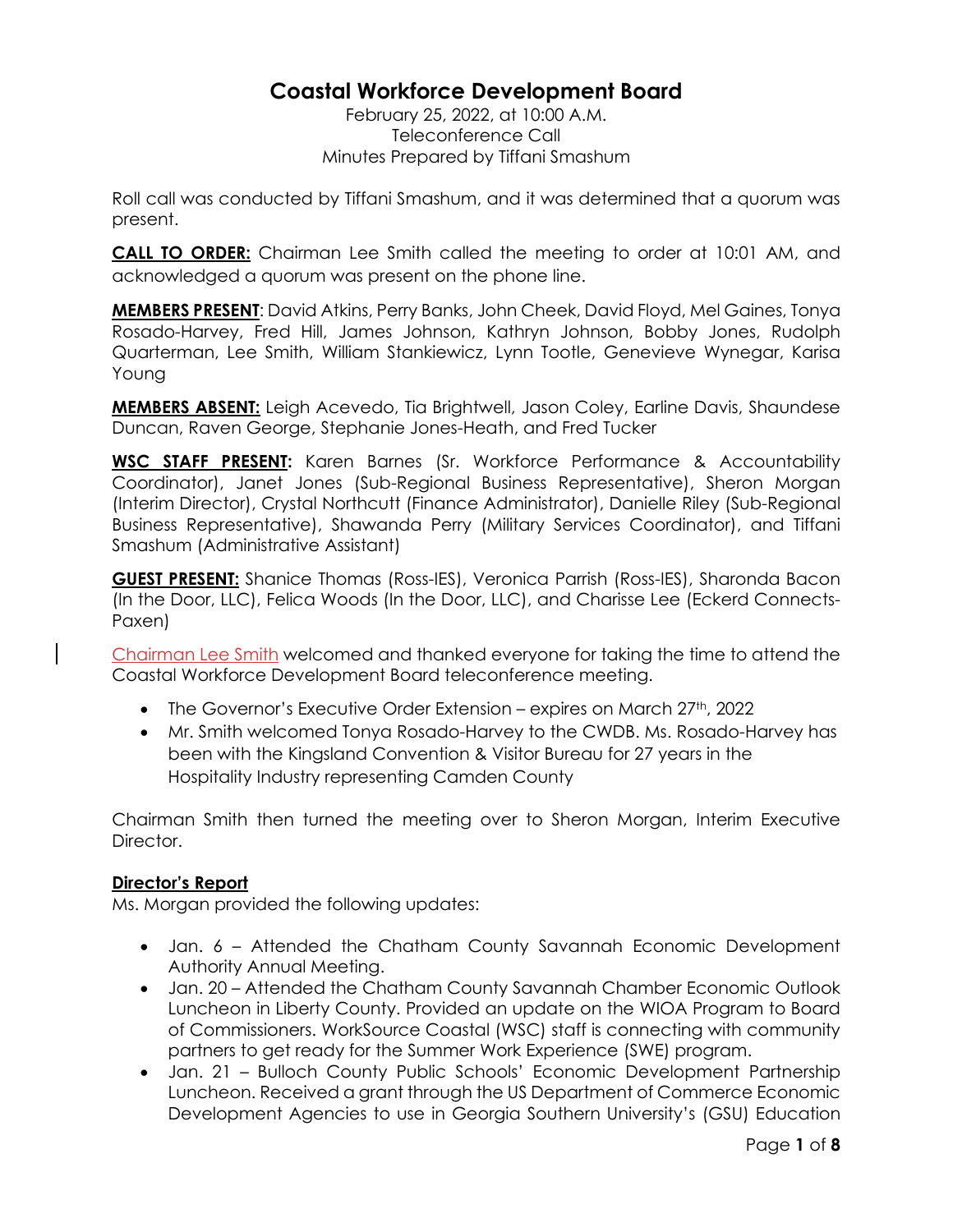# **Coastal Workforce Development Board**

February 25, 2022, at 10:00 A.M. Teleconference Call Minutes Prepared by Tiffani Smashum

Roll call was conducted by Tiffani Smashum, and it was determined that a quorum was present.

**CALL TO ORDER:** Chairman Lee Smith called the meeting to order at 10:01 AM, and acknowledged a quorum was present on the phone line.

**MEMBERS PRESENT**: David Atkins, Perry Banks, John Cheek, David Floyd, Mel Gaines, Tonya Rosado-Harvey, Fred Hill, James Johnson, Kathryn Johnson, Bobby Jones, Rudolph Quarterman, Lee Smith, William Stankiewicz, Lynn Tootle, Genevieve Wynegar, Karisa Young

**MEMBERS ABSENT:** Leigh Acevedo, Tia Brightwell, Jason Coley, Earline Davis, Shaundese Duncan, Raven George, Stephanie Jones-Heath, and Fred Tucker

**WSC STAFF PRESENT:** Karen Barnes (Sr. Workforce Performance & Accountability Coordinator), Janet Jones (Sub-Regional Business Representative), Sheron Morgan (Interim Director), Crystal Northcutt (Finance Administrator), Danielle Riley (Sub-Regional Business Representative), Shawanda Perry (Military Services Coordinator), and Tiffani Smashum (Administrative Assistant)

**GUEST PRESENT:** Shanice Thomas (Ross-IES), Veronica Parrish (Ross-IES), Sharonda Bacon (In the Door, LLC), Felica Woods (In the Door, LLC), and Charisse Lee (Eckerd Connects-Paxen)

Chairman Lee Smith welcomed and thanked everyone for taking the time to attend the Coastal Workforce Development Board teleconference meeting.

- The Governor's Executive Order Extension expires on March  $27<sup>th</sup>$ , 2022
- Mr. Smith welcomed Tonya Rosado-Harvey to the CWDB. Ms. Rosado-Harvey has been with the Kingsland Convention & Visitor Bureau for 27 years in the Hospitality Industry representing Camden County

Chairman Smith then turned the meeting over to Sheron Morgan, Interim Executive Director.

# **Director's Report**

Ms. Morgan provided the following updates:

- Jan. 6 Attended the Chatham County Savannah Economic Development Authority Annual Meeting.
- Jan. 20 Attended the Chatham County Savannah Chamber Economic Outlook Luncheon in Liberty County. Provided an update on the WIOA Program to Board of Commissioners. WorkSource Coastal (WSC) staff is connecting with community partners to get ready for the Summer Work Experience (SWE) program.
- Jan. 21 Bulloch County Public Schools' Economic Development Partnership Luncheon. Received a grant through the US Department of Commerce Economic Development Agencies to use in Georgia Southern University's (GSU) Education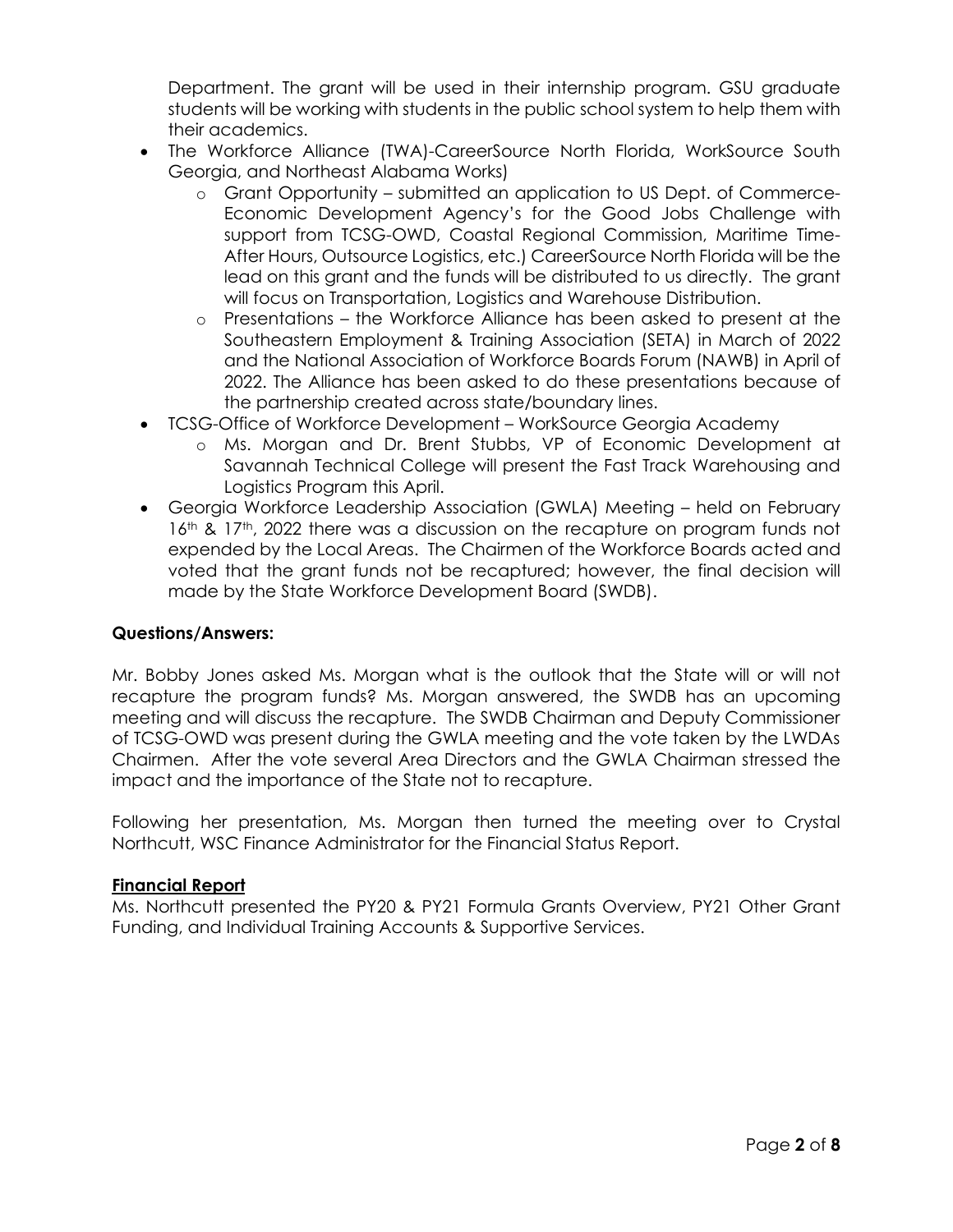Department. The grant will be used in their internship program. GSU graduate students will be working with students in the public school system to help them with their academics.

- The Workforce Alliance (TWA)-CareerSource North Florida, WorkSource South Georgia, and Northeast Alabama Works)
	- o Grant Opportunity submitted an application to US Dept. of Commerce-Economic Development Agency's for the Good Jobs Challenge with support from TCSG-OWD, Coastal Regional Commission, Maritime Time-After Hours, Outsource Logistics, etc.) CareerSource North Florida will be the lead on this grant and the funds will be distributed to us directly. The grant will focus on Transportation, Logistics and Warehouse Distribution.
	- o Presentations the Workforce Alliance has been asked to present at the Southeastern Employment & Training Association (SETA) in March of 2022 and the National Association of Workforce Boards Forum (NAWB) in April of 2022. The Alliance has been asked to do these presentations because of the partnership created across state/boundary lines.
- TCSG-Office of Workforce Development WorkSource Georgia Academy
	- o Ms. Morgan and Dr. Brent Stubbs, VP of Economic Development at Savannah Technical College will present the Fast Track Warehousing and Logistics Program this April.
- Georgia Workforce Leadership Association (GWLA) Meeting held on February 16<sup>th</sup> & 17<sup>th</sup>, 2022 there was a discussion on the recapture on program funds not expended by the Local Areas. The Chairmen of the Workforce Boards acted and voted that the grant funds not be recaptured; however, the final decision will made by the State Workforce Development Board (SWDB).

# **Questions/Answers:**

Mr. Bobby Jones asked Ms. Morgan what is the outlook that the State will or will not recapture the program funds? Ms. Morgan answered, the SWDB has an upcoming meeting and will discuss the recapture. The SWDB Chairman and Deputy Commissioner of TCSG-OWD was present during the GWLA meeting and the vote taken by the LWDAs Chairmen. After the vote several Area Directors and the GWLA Chairman stressed the impact and the importance of the State not to recapture.

Following her presentation, Ms. Morgan then turned the meeting over to Crystal Northcutt, WSC Finance Administrator for the Financial Status Report.

### **Financial Report**

Ms. Northcutt presented the PY20 & PY21 Formula Grants Overview, PY21 Other Grant Funding, and Individual Training Accounts & Supportive Services.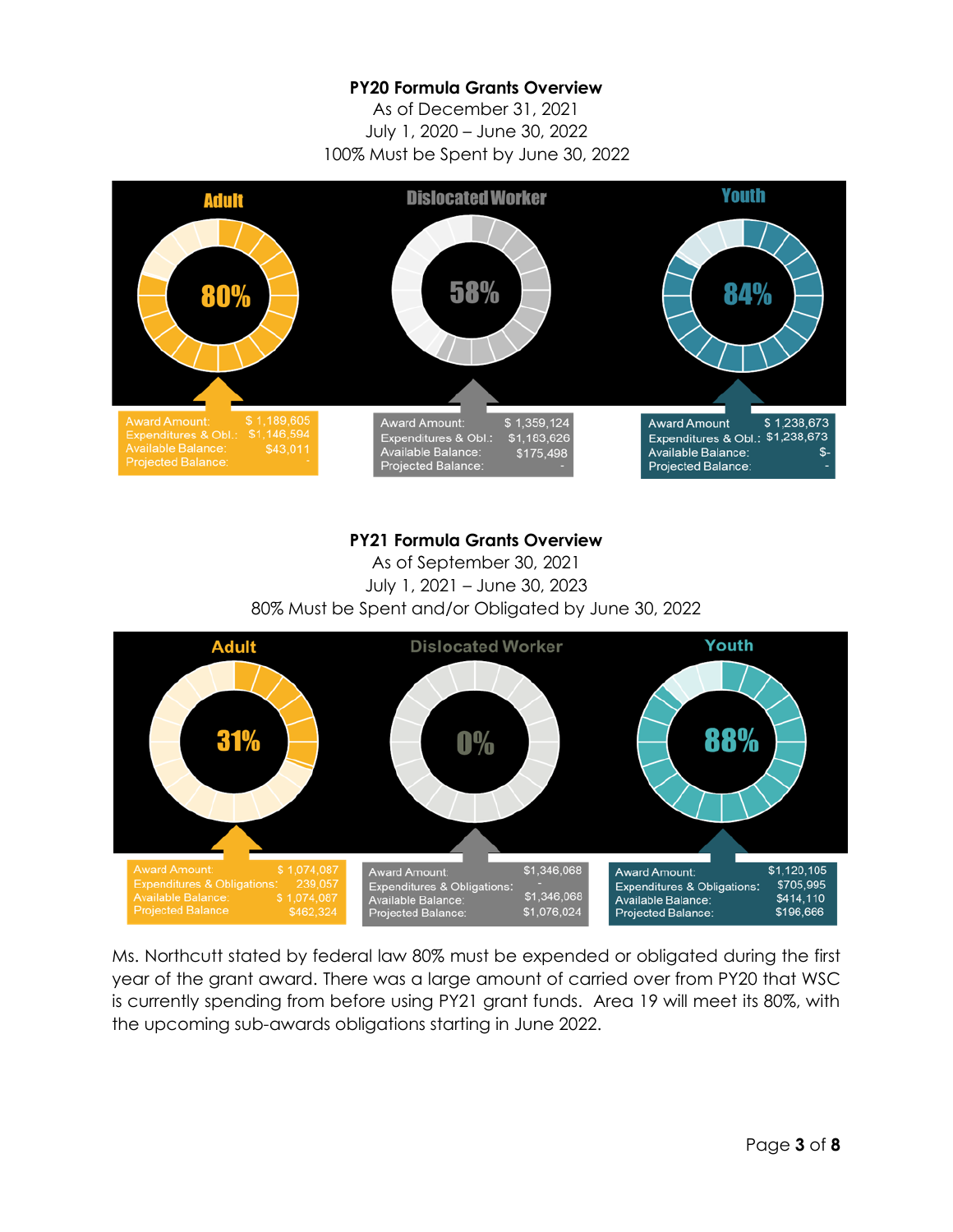## **PY20 Formula Grants Overview**

As of December 31, 2021 July 1, 2020 – June 30, 2022 100% Must be Spent by June 30, 2022



### **PY21 Formula Grants Overview**

As of September 30, 2021 July 1, 2021 – June 30, 2023 80% Must be Spent and/or Obligated by June 30, 2022



Ms. Northcutt stated by federal law 80% must be expended or obligated during the first year of the grant award. There was a large amount of carried over from PY20 that WSC is currently spending from before using PY21 grant funds. Area 19 will meet its 80%, with the upcoming sub-awards obligations starting in June 2022.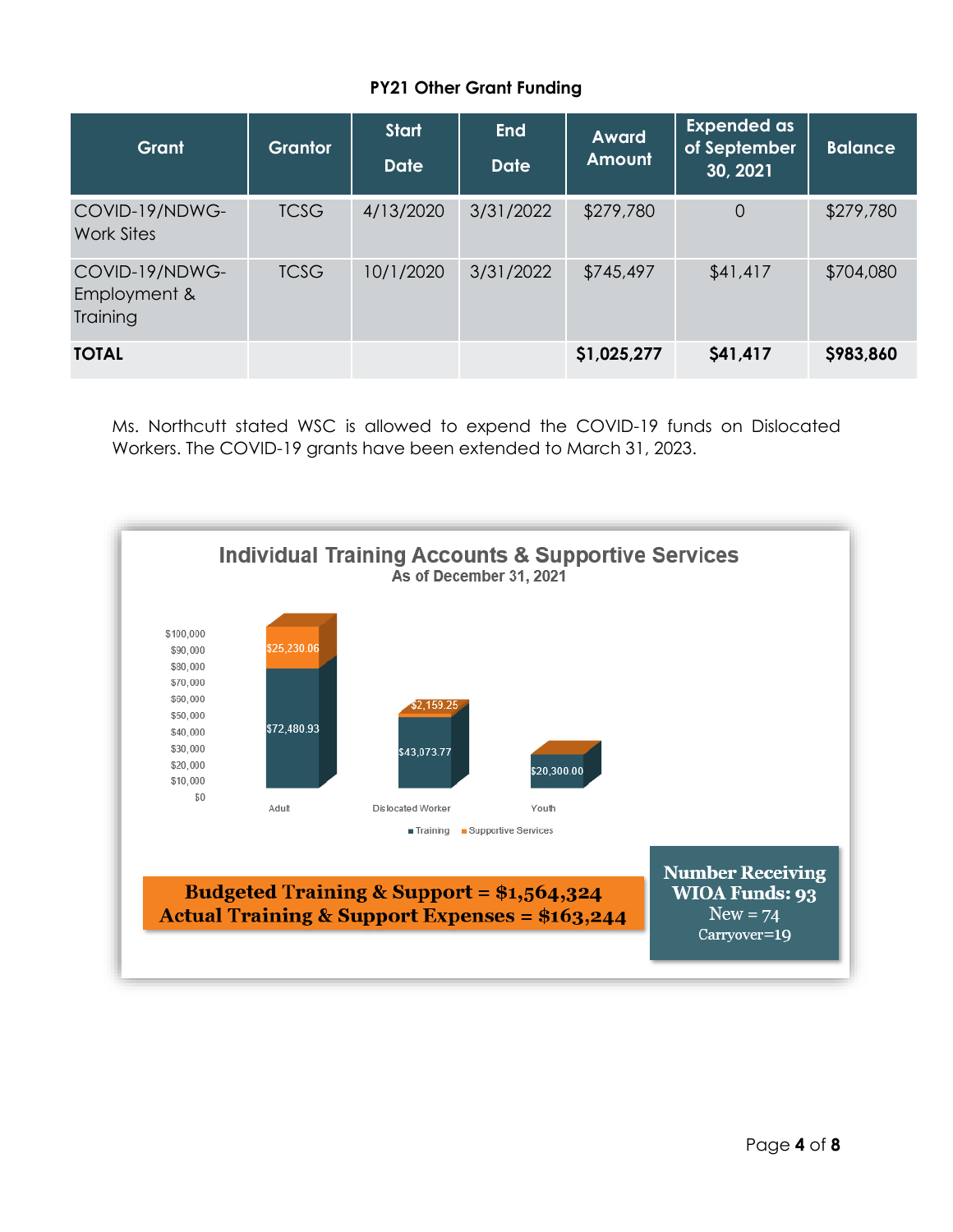# **PY21 Other Grant Funding**

| Grant                                      | <b>Grantor</b> | <b>Start</b><br><b>Date</b> | <b>End</b><br><b>Date</b> | <b>Award</b><br><b>Amount</b> | <b>Expended as</b><br>of September<br>30, 2021 | Balance   |
|--------------------------------------------|----------------|-----------------------------|---------------------------|-------------------------------|------------------------------------------------|-----------|
| COVID-19/NDWG-<br>Work Sites               | <b>TCSG</b>    | 4/13/2020                   | 3/31/2022                 | \$279,780                     | $\overline{0}$                                 | \$279,780 |
| COVID-19/NDWG-<br>Employment &<br>Training | <b>TCSG</b>    | 10/1/2020                   | 3/31/2022                 | \$745,497                     | \$41,417                                       | \$704,080 |
| <b>TOTAL</b>                               |                |                             |                           | \$1,025,277                   | \$41,417                                       | \$983,860 |

Ms. Northcutt stated WSC is allowed to expend the COVID-19 funds on Dislocated Workers. The COVID-19 grants have been extended to March 31, 2023.

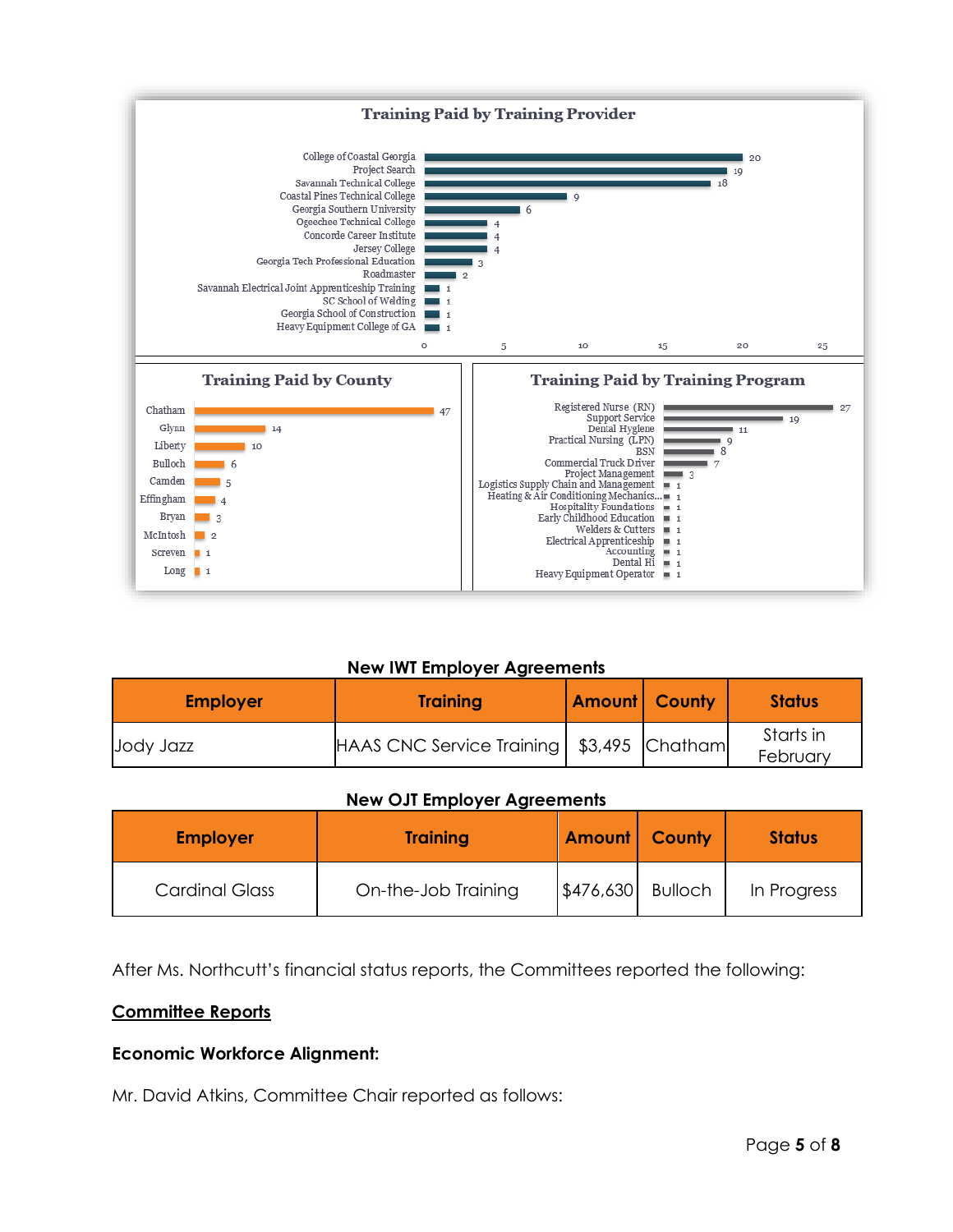

### **New IWT Employer Agreements**

| <b>Employer</b> | <b>Training</b>                             | <b>Amount County</b> | <b>Status</b>         |
|-----------------|---------------------------------------------|----------------------|-----------------------|
| Jody Jazz       | HAAS CNC Service Training   \$3,495 Chatham |                      | Starts in<br>February |

#### **New OJT Employer Agreements**

| <b>Employer</b>       | <b>Training</b>     | Amount            | <b>County</b> | <b>Status</b> |
|-----------------------|---------------------|-------------------|---------------|---------------|
| <b>Cardinal Glass</b> | On-the-Job Training | \$476,630 Bulloch |               | In Progress   |

After Ms. Northcutt's financial status reports, the Committees reported the following:

### **Committee Reports**

### **Economic Workforce Alignment:**

Mr. David Atkins, Committee Chair reported as follows: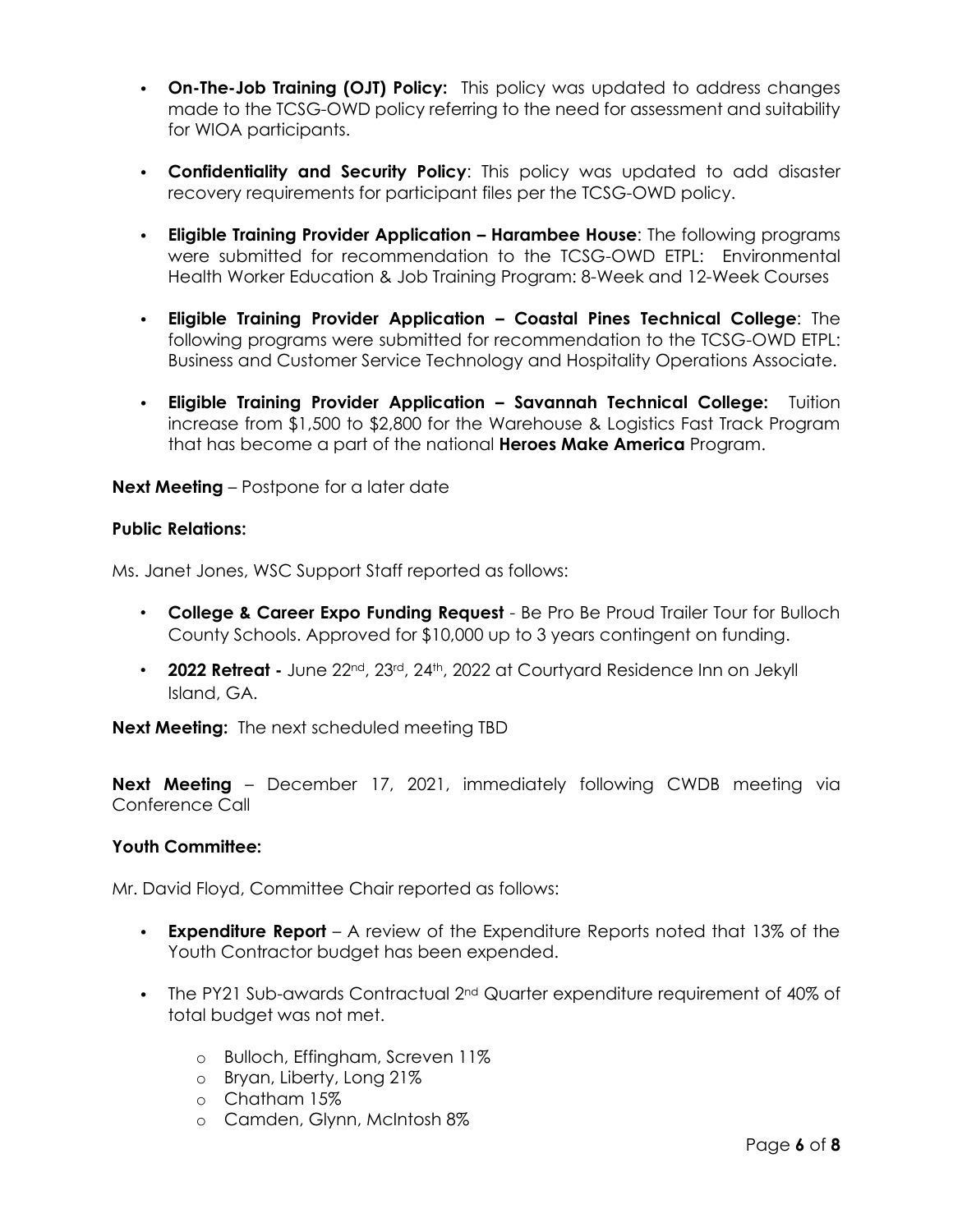- **On-The-Job Training (OJT) Policy:** This policy was updated to address changes made to the TCSG-OWD policy referring to the need for assessment and suitability for WIOA participants.
- **Confidentiality and Security Policy**: This policy was updated to add disaster recovery requirements for participant files per the TCSG-OWD policy.
- **Eligible Training Provider Application – Harambee House**: The following programs were submitted for recommendation to the TCSG-OWD ETPL: Environmental Health Worker Education & Job Training Program: 8-Week and 12-Week Courses
- **Eligible Training Provider Application – Coastal Pines Technical College**: The following programs were submitted for recommendation to the TCSG-OWD ETPL: Business and Customer Service Technology and Hospitality Operations Associate.
- **Eligible Training Provider Application – Savannah Technical College:** Tuition increase from \$1,500 to \$2,800 for the Warehouse & Logistics Fast Track Program that has become a part of the national **Heroes Make America** Program.

### **Next Meeting** – Postpone for a later date

### **Public Relations:**

Ms. Janet Jones, WSC Support Staff reported as follows:

- **College & Career Expo Funding Request** Be Pro Be Proud Trailer Tour for Bulloch County Schools. Approved for \$10,000 up to 3 years contingent on funding.
- **2022 Retreat -** June 22nd, 23rd, 24th, 2022 at Courtyard Residence Inn on Jekyll Island, GA.

**Next Meeting:** The next scheduled meeting TBD

**Next Meeting** – December 17, 2021, immediately following CWDB meeting via Conference Call

### **Youth Committee:**

Mr. David Floyd, Committee Chair reported as follows:

- **Expenditure Report** A review of the Expenditure Reports noted that 13% of the Youth Contractor budget has been expended.
- The PY21 Sub-awards Contractual 2<sup>nd</sup> Quarter expenditure requirement of 40% of total budget was not met.
	- o Bulloch, Effingham, Screven 11%
	- o Bryan, Liberty, Long 21%
	- o Chatham 15%
	- o Camden, Glynn, McIntosh 8%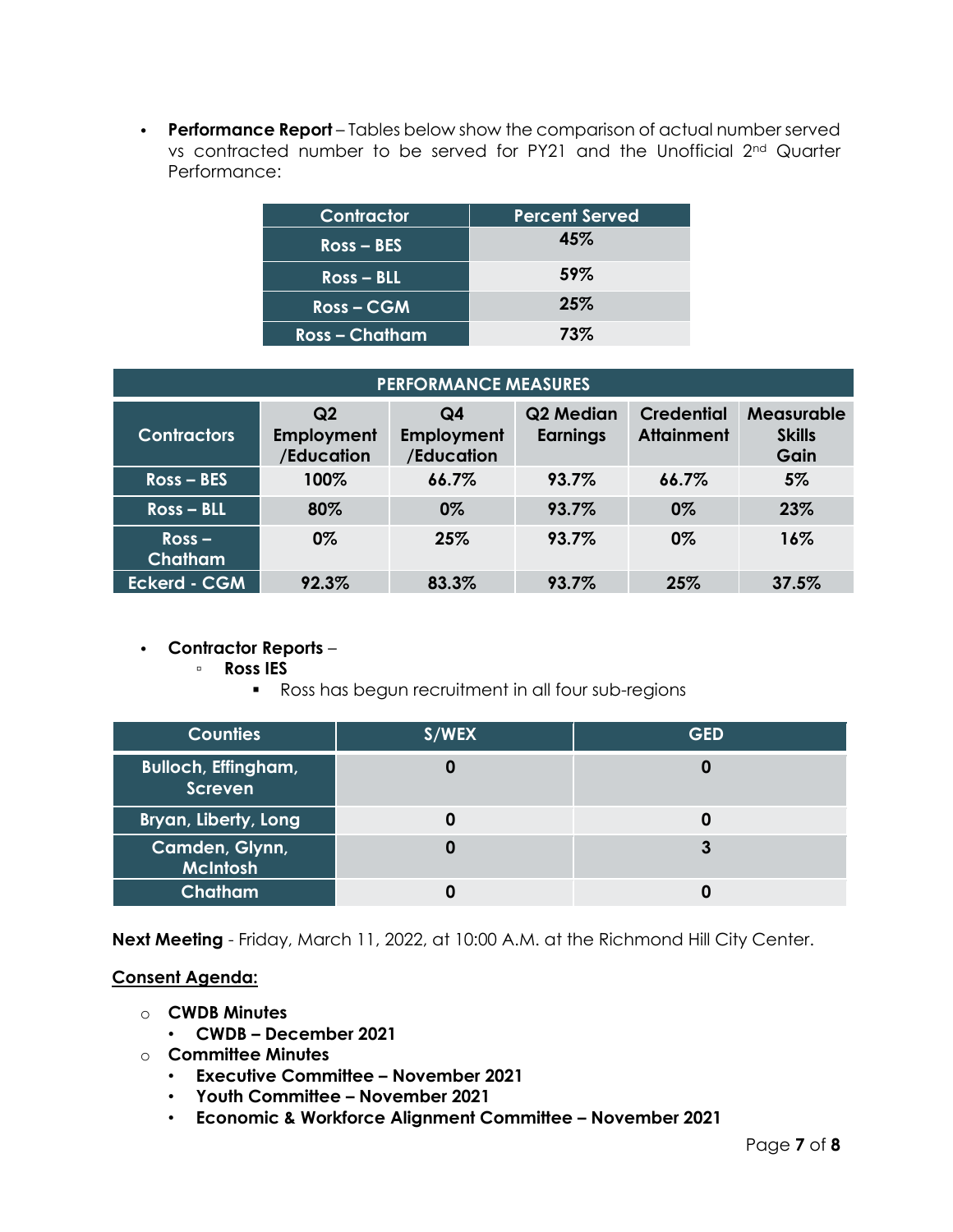• **Performance Report** – Tables below show the comparison of actual number served vs contracted number to be served for PY21 and the Unofficial 2nd Quarter Performance:

| Contractor     | <b>Percent Served</b> |
|----------------|-----------------------|
| $Ross - BES$   | 45%                   |
| $Ross - BLL$   | 59%                   |
| Ross-CGM       | 25%                   |
| Ross – Chatham | 73%                   |

| <b>PERFORMANCE MEASURES</b> |                                                   |                                |                              |                                        |                                            |
|-----------------------------|---------------------------------------------------|--------------------------------|------------------------------|----------------------------------------|--------------------------------------------|
| <b>Contractors</b>          | Q <sub>2</sub><br><b>Employment</b><br>/Education | Q4<br>Employment<br>/Education | Q2 Median<br><b>Earnings</b> | <b>Credential</b><br><b>Attainment</b> | <b>Measurable</b><br><b>Skills</b><br>Gain |
| $Ross - BES$                | 100%                                              | 66.7%                          | 93.7%                        | 66.7%                                  | 5%                                         |
| $Ross - BLL$                | 80%                                               | $0\%$                          | 93.7%                        | 0%                                     | 23%                                        |
| $Ross -$<br><b>Chatham</b>  | $0\%$                                             | 25%                            | 93.7%                        | 0%                                     | 16%                                        |
| <b>Eckerd - CGM</b>         | 92.3%                                             | 83.3%                          | 93.7%                        | 25%                                    | 37.5%                                      |

### • **Contractor Reports** –

- **Ross IES**
	- Ross has begun recruitment in all four sub-regions

| <b>Counties</b>                       | S/WEX | <b>GED</b> |
|---------------------------------------|-------|------------|
| <b>Bulloch, Effingham,</b><br>Screven |       |            |
| Bryan, Liberty, Long                  |       |            |
| Camden, Glynn,<br><b>McIntosh</b>     |       |            |
| <b>Chatham</b>                        |       |            |

**Next Meeting** - Friday, March 11, 2022, at 10:00 A.M. at the Richmond Hill City Center.

### **Consent Agenda:**

- o **CWDB Minutes**
	- **CWDB – December 2021**
- o **Committee Minutes**
	- **Executive Committee – November 2021**
	- **Youth Committee – November 2021**
	- **Economic & Workforce Alignment Committee – November 2021**